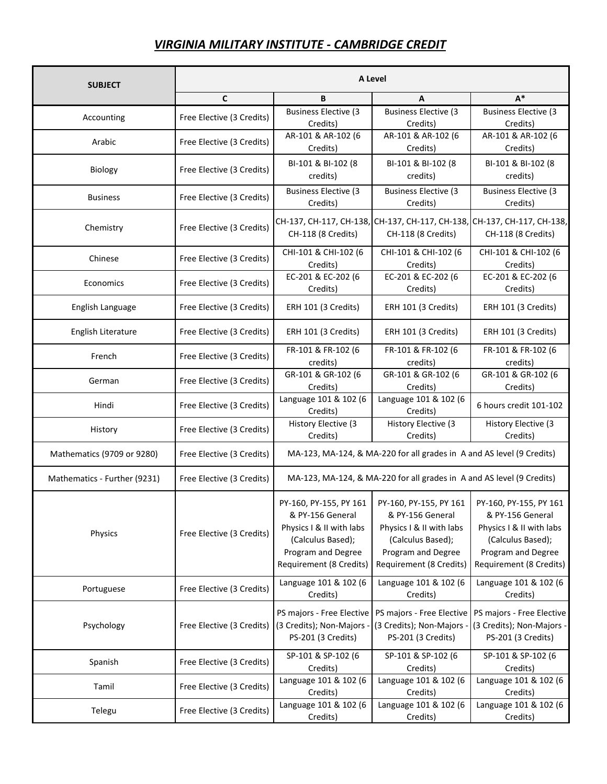## *VIRGINIA MILITARY INSTITUTE - CAMBRIDGE CREDIT*

| C<br>$A^*$<br>B<br>A<br><b>Business Elective (3</b><br><b>Business Elective (3</b><br><b>Business Elective (3</b><br>Free Elective (3 Credits)<br>Accounting<br>Credits)<br>Credits)<br>Credits)<br>AR-101 & AR-102 (6<br>AR-101 & AR-102 (6<br>AR-101 & AR-102 (6<br>Free Elective (3 Credits)<br>Arabic<br>Credits)<br>Credits)<br>Credits)<br>BI-101 & BI-102 (8<br>BI-101 & BI-102 (8<br>BI-101 & BI-102 (8<br>Free Elective (3 Credits)<br>Biology<br>credits)<br>credits)<br>credits)<br><b>Business Elective (3</b><br><b>Business Elective (3)</b><br><b>Business Elective (3</b><br>Free Elective (3 Credits)<br><b>Business</b><br>Credits)<br>Credits)<br>Credits)<br>CH-137, CH-117, CH-138, CH-137, CH-117, CH-138,<br>Free Elective (3 Credits)<br>Chemistry<br>CH-118 (8 Credits)<br>CH-118 (8 Credits)<br>CH-118 (8 Credits)<br>CHI-101 & CHI-102 (6<br>CHI-101 & CHI-102 (6<br>CHI-101 & CHI-102 (6<br>Free Elective (3 Credits)<br>Chinese<br>Credits)<br>Credits)<br>Credits)<br>EC-201 & EC-202 (6<br>EC-201 & EC-202 (6<br>EC-201 & EC-202 (6<br>Free Elective (3 Credits)<br>Economics<br>Credits)<br>Credits)<br>Credits)<br>English Language<br>Free Elective (3 Credits)<br>ERH 101 (3 Credits)<br>ERH 101 (3 Credits)<br>ERH 101 (3 Credits)<br>English Literature<br>Free Elective (3 Credits)<br>ERH 101 (3 Credits)<br>ERH 101 (3 Credits)<br>ERH 101 (3 Credits)<br>FR-101 & FR-102 (6<br>FR-101 & FR-102 (6<br>FR-101 & FR-102 (6<br>French<br>Free Elective (3 Credits)<br>credits)<br>credits)<br>credits)<br>GR-101 & GR-102 (6<br>GR-101 & GR-102 (6<br>GR-101 & GR-102 (6<br>Free Elective (3 Credits)<br>German<br>Credits)<br>Credits)<br>Credits)<br>Language 101 & 102 (6<br>Language 101 & 102 (6<br>Free Elective (3 Credits)<br>6 hours credit 101-102<br>Hindi<br>Credits)<br>Credits)<br>History Elective (3<br>History Elective (3<br>History Elective (3<br>Free Elective (3 Credits)<br>History<br>Credits)<br>Credits)<br>Credits)<br>MA-123, MA-124, & MA-220 for all grades in A and AS level (9 Credits)<br>Mathematics (9709 or 9280)<br>Free Elective (3 Credits)<br>MA-123, MA-124, & MA-220 for all grades in A and AS level (9 Credits)<br>Mathematics - Further (9231)<br>Free Elective (3 Credits)<br>PY-160, PY-155, PY 161<br>PY-160, PY-155, PY 161<br>PY-160, PY-155, PY 161<br>& PY-156 General<br>& PY-156 General<br>& PY-156 General<br>Physics I & II with labs<br>Physics I & II with labs<br>Physics I & II with labs<br>Physics<br>Free Elective (3 Credits)<br>(Calculus Based);<br>(Calculus Based);<br>(Calculus Based);<br>Program and Degree<br>Program and Degree<br>Program and Degree<br>Requirement (8 Credits)<br>Requirement (8 Credits)<br>Requirement (8 Credits)<br>Language 101 & 102 (6<br>Language 101 & 102 (6<br>Language 101 & 102 (6<br>Free Elective (3 Credits)<br>Portuguese<br>Credits)<br>Credits)<br>Credits)<br>PS majors - Free Elective<br>PS majors - Free Elective<br>PS majors - Free Elective<br>Psychology<br>Free Elective (3 Credits)<br>(3 Credits); Non-Majors -<br>(3 Credits); Non-Majors -<br>PS-201 (3 Credits)<br>PS-201 (3 Credits)<br>PS-201 (3 Credits)<br>SP-101 & SP-102 (6<br>SP-101 & SP-102 (6<br>SP-101 & SP-102 (6<br>Spanish<br>Free Elective (3 Credits)<br>Credits)<br>Credits)<br>Credits)<br>Language 101 & 102 (6<br>Language 101 & 102 (6<br>Language 101 & 102 (6<br>Free Elective (3 Credits)<br>Tamil<br>Credits)<br>Credits)<br>Credits)<br>Language 101 & 102 (6<br>Language 101 & 102 (6<br>Language 101 & 102 (6<br>Free Elective (3 Credits)<br>Telegu<br>Credits)<br>Credits)<br>Credits) | <b>SUBJECT</b> |  | A Level |  |  |  |  |
|----------------------------------------------------------------------------------------------------------------------------------------------------------------------------------------------------------------------------------------------------------------------------------------------------------------------------------------------------------------------------------------------------------------------------------------------------------------------------------------------------------------------------------------------------------------------------------------------------------------------------------------------------------------------------------------------------------------------------------------------------------------------------------------------------------------------------------------------------------------------------------------------------------------------------------------------------------------------------------------------------------------------------------------------------------------------------------------------------------------------------------------------------------------------------------------------------------------------------------------------------------------------------------------------------------------------------------------------------------------------------------------------------------------------------------------------------------------------------------------------------------------------------------------------------------------------------------------------------------------------------------------------------------------------------------------------------------------------------------------------------------------------------------------------------------------------------------------------------------------------------------------------------------------------------------------------------------------------------------------------------------------------------------------------------------------------------------------------------------------------------------------------------------------------------------------------------------------------------------------------------------------------------------------------------------------------------------------------------------------------------------------------------------------------------------------------------------------------------------------------------------------------------------------------------------------------------------------------------------------------------------------------------------------------------------------------------------------------------------------------------------------------------------------------------------------------------------------------------------------------------------------------------------------------------------------------------------------------------------------------------------------------------------------------------------------------------------------------------------------------------------------------------------------------------------------------------------------------------------------------------------------------------------------------------------------------------------------------------------------------------------------------------------------------------------------------------------------------------------------------------------------------------------------------------------------------------------------------------------------------------------------|----------------|--|---------|--|--|--|--|
|                                                                                                                                                                                                                                                                                                                                                                                                                                                                                                                                                                                                                                                                                                                                                                                                                                                                                                                                                                                                                                                                                                                                                                                                                                                                                                                                                                                                                                                                                                                                                                                                                                                                                                                                                                                                                                                                                                                                                                                                                                                                                                                                                                                                                                                                                                                                                                                                                                                                                                                                                                                                                                                                                                                                                                                                                                                                                                                                                                                                                                                                                                                                                                                                                                                                                                                                                                                                                                                                                                                                                                                                                                        |                |  |         |  |  |  |  |
|                                                                                                                                                                                                                                                                                                                                                                                                                                                                                                                                                                                                                                                                                                                                                                                                                                                                                                                                                                                                                                                                                                                                                                                                                                                                                                                                                                                                                                                                                                                                                                                                                                                                                                                                                                                                                                                                                                                                                                                                                                                                                                                                                                                                                                                                                                                                                                                                                                                                                                                                                                                                                                                                                                                                                                                                                                                                                                                                                                                                                                                                                                                                                                                                                                                                                                                                                                                                                                                                                                                                                                                                                                        |                |  |         |  |  |  |  |
|                                                                                                                                                                                                                                                                                                                                                                                                                                                                                                                                                                                                                                                                                                                                                                                                                                                                                                                                                                                                                                                                                                                                                                                                                                                                                                                                                                                                                                                                                                                                                                                                                                                                                                                                                                                                                                                                                                                                                                                                                                                                                                                                                                                                                                                                                                                                                                                                                                                                                                                                                                                                                                                                                                                                                                                                                                                                                                                                                                                                                                                                                                                                                                                                                                                                                                                                                                                                                                                                                                                                                                                                                                        |                |  |         |  |  |  |  |
|                                                                                                                                                                                                                                                                                                                                                                                                                                                                                                                                                                                                                                                                                                                                                                                                                                                                                                                                                                                                                                                                                                                                                                                                                                                                                                                                                                                                                                                                                                                                                                                                                                                                                                                                                                                                                                                                                                                                                                                                                                                                                                                                                                                                                                                                                                                                                                                                                                                                                                                                                                                                                                                                                                                                                                                                                                                                                                                                                                                                                                                                                                                                                                                                                                                                                                                                                                                                                                                                                                                                                                                                                                        |                |  |         |  |  |  |  |
|                                                                                                                                                                                                                                                                                                                                                                                                                                                                                                                                                                                                                                                                                                                                                                                                                                                                                                                                                                                                                                                                                                                                                                                                                                                                                                                                                                                                                                                                                                                                                                                                                                                                                                                                                                                                                                                                                                                                                                                                                                                                                                                                                                                                                                                                                                                                                                                                                                                                                                                                                                                                                                                                                                                                                                                                                                                                                                                                                                                                                                                                                                                                                                                                                                                                                                                                                                                                                                                                                                                                                                                                                                        |                |  |         |  |  |  |  |
| CH-137, CH-117, CH-138,<br>(3 Credits); Non-Majors -                                                                                                                                                                                                                                                                                                                                                                                                                                                                                                                                                                                                                                                                                                                                                                                                                                                                                                                                                                                                                                                                                                                                                                                                                                                                                                                                                                                                                                                                                                                                                                                                                                                                                                                                                                                                                                                                                                                                                                                                                                                                                                                                                                                                                                                                                                                                                                                                                                                                                                                                                                                                                                                                                                                                                                                                                                                                                                                                                                                                                                                                                                                                                                                                                                                                                                                                                                                                                                                                                                                                                                                   |                |  |         |  |  |  |  |
|                                                                                                                                                                                                                                                                                                                                                                                                                                                                                                                                                                                                                                                                                                                                                                                                                                                                                                                                                                                                                                                                                                                                                                                                                                                                                                                                                                                                                                                                                                                                                                                                                                                                                                                                                                                                                                                                                                                                                                                                                                                                                                                                                                                                                                                                                                                                                                                                                                                                                                                                                                                                                                                                                                                                                                                                                                                                                                                                                                                                                                                                                                                                                                                                                                                                                                                                                                                                                                                                                                                                                                                                                                        |                |  |         |  |  |  |  |
|                                                                                                                                                                                                                                                                                                                                                                                                                                                                                                                                                                                                                                                                                                                                                                                                                                                                                                                                                                                                                                                                                                                                                                                                                                                                                                                                                                                                                                                                                                                                                                                                                                                                                                                                                                                                                                                                                                                                                                                                                                                                                                                                                                                                                                                                                                                                                                                                                                                                                                                                                                                                                                                                                                                                                                                                                                                                                                                                                                                                                                                                                                                                                                                                                                                                                                                                                                                                                                                                                                                                                                                                                                        |                |  |         |  |  |  |  |
|                                                                                                                                                                                                                                                                                                                                                                                                                                                                                                                                                                                                                                                                                                                                                                                                                                                                                                                                                                                                                                                                                                                                                                                                                                                                                                                                                                                                                                                                                                                                                                                                                                                                                                                                                                                                                                                                                                                                                                                                                                                                                                                                                                                                                                                                                                                                                                                                                                                                                                                                                                                                                                                                                                                                                                                                                                                                                                                                                                                                                                                                                                                                                                                                                                                                                                                                                                                                                                                                                                                                                                                                                                        |                |  |         |  |  |  |  |
|                                                                                                                                                                                                                                                                                                                                                                                                                                                                                                                                                                                                                                                                                                                                                                                                                                                                                                                                                                                                                                                                                                                                                                                                                                                                                                                                                                                                                                                                                                                                                                                                                                                                                                                                                                                                                                                                                                                                                                                                                                                                                                                                                                                                                                                                                                                                                                                                                                                                                                                                                                                                                                                                                                                                                                                                                                                                                                                                                                                                                                                                                                                                                                                                                                                                                                                                                                                                                                                                                                                                                                                                                                        |                |  |         |  |  |  |  |
|                                                                                                                                                                                                                                                                                                                                                                                                                                                                                                                                                                                                                                                                                                                                                                                                                                                                                                                                                                                                                                                                                                                                                                                                                                                                                                                                                                                                                                                                                                                                                                                                                                                                                                                                                                                                                                                                                                                                                                                                                                                                                                                                                                                                                                                                                                                                                                                                                                                                                                                                                                                                                                                                                                                                                                                                                                                                                                                                                                                                                                                                                                                                                                                                                                                                                                                                                                                                                                                                                                                                                                                                                                        |                |  |         |  |  |  |  |
|                                                                                                                                                                                                                                                                                                                                                                                                                                                                                                                                                                                                                                                                                                                                                                                                                                                                                                                                                                                                                                                                                                                                                                                                                                                                                                                                                                                                                                                                                                                                                                                                                                                                                                                                                                                                                                                                                                                                                                                                                                                                                                                                                                                                                                                                                                                                                                                                                                                                                                                                                                                                                                                                                                                                                                                                                                                                                                                                                                                                                                                                                                                                                                                                                                                                                                                                                                                                                                                                                                                                                                                                                                        |                |  |         |  |  |  |  |
|                                                                                                                                                                                                                                                                                                                                                                                                                                                                                                                                                                                                                                                                                                                                                                                                                                                                                                                                                                                                                                                                                                                                                                                                                                                                                                                                                                                                                                                                                                                                                                                                                                                                                                                                                                                                                                                                                                                                                                                                                                                                                                                                                                                                                                                                                                                                                                                                                                                                                                                                                                                                                                                                                                                                                                                                                                                                                                                                                                                                                                                                                                                                                                                                                                                                                                                                                                                                                                                                                                                                                                                                                                        |                |  |         |  |  |  |  |
|                                                                                                                                                                                                                                                                                                                                                                                                                                                                                                                                                                                                                                                                                                                                                                                                                                                                                                                                                                                                                                                                                                                                                                                                                                                                                                                                                                                                                                                                                                                                                                                                                                                                                                                                                                                                                                                                                                                                                                                                                                                                                                                                                                                                                                                                                                                                                                                                                                                                                                                                                                                                                                                                                                                                                                                                                                                                                                                                                                                                                                                                                                                                                                                                                                                                                                                                                                                                                                                                                                                                                                                                                                        |                |  |         |  |  |  |  |
|                                                                                                                                                                                                                                                                                                                                                                                                                                                                                                                                                                                                                                                                                                                                                                                                                                                                                                                                                                                                                                                                                                                                                                                                                                                                                                                                                                                                                                                                                                                                                                                                                                                                                                                                                                                                                                                                                                                                                                                                                                                                                                                                                                                                                                                                                                                                                                                                                                                                                                                                                                                                                                                                                                                                                                                                                                                                                                                                                                                                                                                                                                                                                                                                                                                                                                                                                                                                                                                                                                                                                                                                                                        |                |  |         |  |  |  |  |
|                                                                                                                                                                                                                                                                                                                                                                                                                                                                                                                                                                                                                                                                                                                                                                                                                                                                                                                                                                                                                                                                                                                                                                                                                                                                                                                                                                                                                                                                                                                                                                                                                                                                                                                                                                                                                                                                                                                                                                                                                                                                                                                                                                                                                                                                                                                                                                                                                                                                                                                                                                                                                                                                                                                                                                                                                                                                                                                                                                                                                                                                                                                                                                                                                                                                                                                                                                                                                                                                                                                                                                                                                                        |                |  |         |  |  |  |  |
|                                                                                                                                                                                                                                                                                                                                                                                                                                                                                                                                                                                                                                                                                                                                                                                                                                                                                                                                                                                                                                                                                                                                                                                                                                                                                                                                                                                                                                                                                                                                                                                                                                                                                                                                                                                                                                                                                                                                                                                                                                                                                                                                                                                                                                                                                                                                                                                                                                                                                                                                                                                                                                                                                                                                                                                                                                                                                                                                                                                                                                                                                                                                                                                                                                                                                                                                                                                                                                                                                                                                                                                                                                        |                |  |         |  |  |  |  |
|                                                                                                                                                                                                                                                                                                                                                                                                                                                                                                                                                                                                                                                                                                                                                                                                                                                                                                                                                                                                                                                                                                                                                                                                                                                                                                                                                                                                                                                                                                                                                                                                                                                                                                                                                                                                                                                                                                                                                                                                                                                                                                                                                                                                                                                                                                                                                                                                                                                                                                                                                                                                                                                                                                                                                                                                                                                                                                                                                                                                                                                                                                                                                                                                                                                                                                                                                                                                                                                                                                                                                                                                                                        |                |  |         |  |  |  |  |
|                                                                                                                                                                                                                                                                                                                                                                                                                                                                                                                                                                                                                                                                                                                                                                                                                                                                                                                                                                                                                                                                                                                                                                                                                                                                                                                                                                                                                                                                                                                                                                                                                                                                                                                                                                                                                                                                                                                                                                                                                                                                                                                                                                                                                                                                                                                                                                                                                                                                                                                                                                                                                                                                                                                                                                                                                                                                                                                                                                                                                                                                                                                                                                                                                                                                                                                                                                                                                                                                                                                                                                                                                                        |                |  |         |  |  |  |  |
|                                                                                                                                                                                                                                                                                                                                                                                                                                                                                                                                                                                                                                                                                                                                                                                                                                                                                                                                                                                                                                                                                                                                                                                                                                                                                                                                                                                                                                                                                                                                                                                                                                                                                                                                                                                                                                                                                                                                                                                                                                                                                                                                                                                                                                                                                                                                                                                                                                                                                                                                                                                                                                                                                                                                                                                                                                                                                                                                                                                                                                                                                                                                                                                                                                                                                                                                                                                                                                                                                                                                                                                                                                        |                |  |         |  |  |  |  |
|                                                                                                                                                                                                                                                                                                                                                                                                                                                                                                                                                                                                                                                                                                                                                                                                                                                                                                                                                                                                                                                                                                                                                                                                                                                                                                                                                                                                                                                                                                                                                                                                                                                                                                                                                                                                                                                                                                                                                                                                                                                                                                                                                                                                                                                                                                                                                                                                                                                                                                                                                                                                                                                                                                                                                                                                                                                                                                                                                                                                                                                                                                                                                                                                                                                                                                                                                                                                                                                                                                                                                                                                                                        |                |  |         |  |  |  |  |
|                                                                                                                                                                                                                                                                                                                                                                                                                                                                                                                                                                                                                                                                                                                                                                                                                                                                                                                                                                                                                                                                                                                                                                                                                                                                                                                                                                                                                                                                                                                                                                                                                                                                                                                                                                                                                                                                                                                                                                                                                                                                                                                                                                                                                                                                                                                                                                                                                                                                                                                                                                                                                                                                                                                                                                                                                                                                                                                                                                                                                                                                                                                                                                                                                                                                                                                                                                                                                                                                                                                                                                                                                                        |                |  |         |  |  |  |  |
|                                                                                                                                                                                                                                                                                                                                                                                                                                                                                                                                                                                                                                                                                                                                                                                                                                                                                                                                                                                                                                                                                                                                                                                                                                                                                                                                                                                                                                                                                                                                                                                                                                                                                                                                                                                                                                                                                                                                                                                                                                                                                                                                                                                                                                                                                                                                                                                                                                                                                                                                                                                                                                                                                                                                                                                                                                                                                                                                                                                                                                                                                                                                                                                                                                                                                                                                                                                                                                                                                                                                                                                                                                        |                |  |         |  |  |  |  |
|                                                                                                                                                                                                                                                                                                                                                                                                                                                                                                                                                                                                                                                                                                                                                                                                                                                                                                                                                                                                                                                                                                                                                                                                                                                                                                                                                                                                                                                                                                                                                                                                                                                                                                                                                                                                                                                                                                                                                                                                                                                                                                                                                                                                                                                                                                                                                                                                                                                                                                                                                                                                                                                                                                                                                                                                                                                                                                                                                                                                                                                                                                                                                                                                                                                                                                                                                                                                                                                                                                                                                                                                                                        |                |  |         |  |  |  |  |
|                                                                                                                                                                                                                                                                                                                                                                                                                                                                                                                                                                                                                                                                                                                                                                                                                                                                                                                                                                                                                                                                                                                                                                                                                                                                                                                                                                                                                                                                                                                                                                                                                                                                                                                                                                                                                                                                                                                                                                                                                                                                                                                                                                                                                                                                                                                                                                                                                                                                                                                                                                                                                                                                                                                                                                                                                                                                                                                                                                                                                                                                                                                                                                                                                                                                                                                                                                                                                                                                                                                                                                                                                                        |                |  |         |  |  |  |  |
|                                                                                                                                                                                                                                                                                                                                                                                                                                                                                                                                                                                                                                                                                                                                                                                                                                                                                                                                                                                                                                                                                                                                                                                                                                                                                                                                                                                                                                                                                                                                                                                                                                                                                                                                                                                                                                                                                                                                                                                                                                                                                                                                                                                                                                                                                                                                                                                                                                                                                                                                                                                                                                                                                                                                                                                                                                                                                                                                                                                                                                                                                                                                                                                                                                                                                                                                                                                                                                                                                                                                                                                                                                        |                |  |         |  |  |  |  |
|                                                                                                                                                                                                                                                                                                                                                                                                                                                                                                                                                                                                                                                                                                                                                                                                                                                                                                                                                                                                                                                                                                                                                                                                                                                                                                                                                                                                                                                                                                                                                                                                                                                                                                                                                                                                                                                                                                                                                                                                                                                                                                                                                                                                                                                                                                                                                                                                                                                                                                                                                                                                                                                                                                                                                                                                                                                                                                                                                                                                                                                                                                                                                                                                                                                                                                                                                                                                                                                                                                                                                                                                                                        |                |  |         |  |  |  |  |
|                                                                                                                                                                                                                                                                                                                                                                                                                                                                                                                                                                                                                                                                                                                                                                                                                                                                                                                                                                                                                                                                                                                                                                                                                                                                                                                                                                                                                                                                                                                                                                                                                                                                                                                                                                                                                                                                                                                                                                                                                                                                                                                                                                                                                                                                                                                                                                                                                                                                                                                                                                                                                                                                                                                                                                                                                                                                                                                                                                                                                                                                                                                                                                                                                                                                                                                                                                                                                                                                                                                                                                                                                                        |                |  |         |  |  |  |  |
|                                                                                                                                                                                                                                                                                                                                                                                                                                                                                                                                                                                                                                                                                                                                                                                                                                                                                                                                                                                                                                                                                                                                                                                                                                                                                                                                                                                                                                                                                                                                                                                                                                                                                                                                                                                                                                                                                                                                                                                                                                                                                                                                                                                                                                                                                                                                                                                                                                                                                                                                                                                                                                                                                                                                                                                                                                                                                                                                                                                                                                                                                                                                                                                                                                                                                                                                                                                                                                                                                                                                                                                                                                        |                |  |         |  |  |  |  |
|                                                                                                                                                                                                                                                                                                                                                                                                                                                                                                                                                                                                                                                                                                                                                                                                                                                                                                                                                                                                                                                                                                                                                                                                                                                                                                                                                                                                                                                                                                                                                                                                                                                                                                                                                                                                                                                                                                                                                                                                                                                                                                                                                                                                                                                                                                                                                                                                                                                                                                                                                                                                                                                                                                                                                                                                                                                                                                                                                                                                                                                                                                                                                                                                                                                                                                                                                                                                                                                                                                                                                                                                                                        |                |  |         |  |  |  |  |
|                                                                                                                                                                                                                                                                                                                                                                                                                                                                                                                                                                                                                                                                                                                                                                                                                                                                                                                                                                                                                                                                                                                                                                                                                                                                                                                                                                                                                                                                                                                                                                                                                                                                                                                                                                                                                                                                                                                                                                                                                                                                                                                                                                                                                                                                                                                                                                                                                                                                                                                                                                                                                                                                                                                                                                                                                                                                                                                                                                                                                                                                                                                                                                                                                                                                                                                                                                                                                                                                                                                                                                                                                                        |                |  |         |  |  |  |  |
|                                                                                                                                                                                                                                                                                                                                                                                                                                                                                                                                                                                                                                                                                                                                                                                                                                                                                                                                                                                                                                                                                                                                                                                                                                                                                                                                                                                                                                                                                                                                                                                                                                                                                                                                                                                                                                                                                                                                                                                                                                                                                                                                                                                                                                                                                                                                                                                                                                                                                                                                                                                                                                                                                                                                                                                                                                                                                                                                                                                                                                                                                                                                                                                                                                                                                                                                                                                                                                                                                                                                                                                                                                        |                |  |         |  |  |  |  |
|                                                                                                                                                                                                                                                                                                                                                                                                                                                                                                                                                                                                                                                                                                                                                                                                                                                                                                                                                                                                                                                                                                                                                                                                                                                                                                                                                                                                                                                                                                                                                                                                                                                                                                                                                                                                                                                                                                                                                                                                                                                                                                                                                                                                                                                                                                                                                                                                                                                                                                                                                                                                                                                                                                                                                                                                                                                                                                                                                                                                                                                                                                                                                                                                                                                                                                                                                                                                                                                                                                                                                                                                                                        |                |  |         |  |  |  |  |
|                                                                                                                                                                                                                                                                                                                                                                                                                                                                                                                                                                                                                                                                                                                                                                                                                                                                                                                                                                                                                                                                                                                                                                                                                                                                                                                                                                                                                                                                                                                                                                                                                                                                                                                                                                                                                                                                                                                                                                                                                                                                                                                                                                                                                                                                                                                                                                                                                                                                                                                                                                                                                                                                                                                                                                                                                                                                                                                                                                                                                                                                                                                                                                                                                                                                                                                                                                                                                                                                                                                                                                                                                                        |                |  |         |  |  |  |  |
|                                                                                                                                                                                                                                                                                                                                                                                                                                                                                                                                                                                                                                                                                                                                                                                                                                                                                                                                                                                                                                                                                                                                                                                                                                                                                                                                                                                                                                                                                                                                                                                                                                                                                                                                                                                                                                                                                                                                                                                                                                                                                                                                                                                                                                                                                                                                                                                                                                                                                                                                                                                                                                                                                                                                                                                                                                                                                                                                                                                                                                                                                                                                                                                                                                                                                                                                                                                                                                                                                                                                                                                                                                        |                |  |         |  |  |  |  |
|                                                                                                                                                                                                                                                                                                                                                                                                                                                                                                                                                                                                                                                                                                                                                                                                                                                                                                                                                                                                                                                                                                                                                                                                                                                                                                                                                                                                                                                                                                                                                                                                                                                                                                                                                                                                                                                                                                                                                                                                                                                                                                                                                                                                                                                                                                                                                                                                                                                                                                                                                                                                                                                                                                                                                                                                                                                                                                                                                                                                                                                                                                                                                                                                                                                                                                                                                                                                                                                                                                                                                                                                                                        |                |  |         |  |  |  |  |
|                                                                                                                                                                                                                                                                                                                                                                                                                                                                                                                                                                                                                                                                                                                                                                                                                                                                                                                                                                                                                                                                                                                                                                                                                                                                                                                                                                                                                                                                                                                                                                                                                                                                                                                                                                                                                                                                                                                                                                                                                                                                                                                                                                                                                                                                                                                                                                                                                                                                                                                                                                                                                                                                                                                                                                                                                                                                                                                                                                                                                                                                                                                                                                                                                                                                                                                                                                                                                                                                                                                                                                                                                                        |                |  |         |  |  |  |  |
|                                                                                                                                                                                                                                                                                                                                                                                                                                                                                                                                                                                                                                                                                                                                                                                                                                                                                                                                                                                                                                                                                                                                                                                                                                                                                                                                                                                                                                                                                                                                                                                                                                                                                                                                                                                                                                                                                                                                                                                                                                                                                                                                                                                                                                                                                                                                                                                                                                                                                                                                                                                                                                                                                                                                                                                                                                                                                                                                                                                                                                                                                                                                                                                                                                                                                                                                                                                                                                                                                                                                                                                                                                        |                |  |         |  |  |  |  |
|                                                                                                                                                                                                                                                                                                                                                                                                                                                                                                                                                                                                                                                                                                                                                                                                                                                                                                                                                                                                                                                                                                                                                                                                                                                                                                                                                                                                                                                                                                                                                                                                                                                                                                                                                                                                                                                                                                                                                                                                                                                                                                                                                                                                                                                                                                                                                                                                                                                                                                                                                                                                                                                                                                                                                                                                                                                                                                                                                                                                                                                                                                                                                                                                                                                                                                                                                                                                                                                                                                                                                                                                                                        |                |  |         |  |  |  |  |
|                                                                                                                                                                                                                                                                                                                                                                                                                                                                                                                                                                                                                                                                                                                                                                                                                                                                                                                                                                                                                                                                                                                                                                                                                                                                                                                                                                                                                                                                                                                                                                                                                                                                                                                                                                                                                                                                                                                                                                                                                                                                                                                                                                                                                                                                                                                                                                                                                                                                                                                                                                                                                                                                                                                                                                                                                                                                                                                                                                                                                                                                                                                                                                                                                                                                                                                                                                                                                                                                                                                                                                                                                                        |                |  |         |  |  |  |  |
|                                                                                                                                                                                                                                                                                                                                                                                                                                                                                                                                                                                                                                                                                                                                                                                                                                                                                                                                                                                                                                                                                                                                                                                                                                                                                                                                                                                                                                                                                                                                                                                                                                                                                                                                                                                                                                                                                                                                                                                                                                                                                                                                                                                                                                                                                                                                                                                                                                                                                                                                                                                                                                                                                                                                                                                                                                                                                                                                                                                                                                                                                                                                                                                                                                                                                                                                                                                                                                                                                                                                                                                                                                        |                |  |         |  |  |  |  |
|                                                                                                                                                                                                                                                                                                                                                                                                                                                                                                                                                                                                                                                                                                                                                                                                                                                                                                                                                                                                                                                                                                                                                                                                                                                                                                                                                                                                                                                                                                                                                                                                                                                                                                                                                                                                                                                                                                                                                                                                                                                                                                                                                                                                                                                                                                                                                                                                                                                                                                                                                                                                                                                                                                                                                                                                                                                                                                                                                                                                                                                                                                                                                                                                                                                                                                                                                                                                                                                                                                                                                                                                                                        |                |  |         |  |  |  |  |
|                                                                                                                                                                                                                                                                                                                                                                                                                                                                                                                                                                                                                                                                                                                                                                                                                                                                                                                                                                                                                                                                                                                                                                                                                                                                                                                                                                                                                                                                                                                                                                                                                                                                                                                                                                                                                                                                                                                                                                                                                                                                                                                                                                                                                                                                                                                                                                                                                                                                                                                                                                                                                                                                                                                                                                                                                                                                                                                                                                                                                                                                                                                                                                                                                                                                                                                                                                                                                                                                                                                                                                                                                                        |                |  |         |  |  |  |  |
|                                                                                                                                                                                                                                                                                                                                                                                                                                                                                                                                                                                                                                                                                                                                                                                                                                                                                                                                                                                                                                                                                                                                                                                                                                                                                                                                                                                                                                                                                                                                                                                                                                                                                                                                                                                                                                                                                                                                                                                                                                                                                                                                                                                                                                                                                                                                                                                                                                                                                                                                                                                                                                                                                                                                                                                                                                                                                                                                                                                                                                                                                                                                                                                                                                                                                                                                                                                                                                                                                                                                                                                                                                        |                |  |         |  |  |  |  |
|                                                                                                                                                                                                                                                                                                                                                                                                                                                                                                                                                                                                                                                                                                                                                                                                                                                                                                                                                                                                                                                                                                                                                                                                                                                                                                                                                                                                                                                                                                                                                                                                                                                                                                                                                                                                                                                                                                                                                                                                                                                                                                                                                                                                                                                                                                                                                                                                                                                                                                                                                                                                                                                                                                                                                                                                                                                                                                                                                                                                                                                                                                                                                                                                                                                                                                                                                                                                                                                                                                                                                                                                                                        |                |  |         |  |  |  |  |
|                                                                                                                                                                                                                                                                                                                                                                                                                                                                                                                                                                                                                                                                                                                                                                                                                                                                                                                                                                                                                                                                                                                                                                                                                                                                                                                                                                                                                                                                                                                                                                                                                                                                                                                                                                                                                                                                                                                                                                                                                                                                                                                                                                                                                                                                                                                                                                                                                                                                                                                                                                                                                                                                                                                                                                                                                                                                                                                                                                                                                                                                                                                                                                                                                                                                                                                                                                                                                                                                                                                                                                                                                                        |                |  |         |  |  |  |  |
|                                                                                                                                                                                                                                                                                                                                                                                                                                                                                                                                                                                                                                                                                                                                                                                                                                                                                                                                                                                                                                                                                                                                                                                                                                                                                                                                                                                                                                                                                                                                                                                                                                                                                                                                                                                                                                                                                                                                                                                                                                                                                                                                                                                                                                                                                                                                                                                                                                                                                                                                                                                                                                                                                                                                                                                                                                                                                                                                                                                                                                                                                                                                                                                                                                                                                                                                                                                                                                                                                                                                                                                                                                        |                |  |         |  |  |  |  |